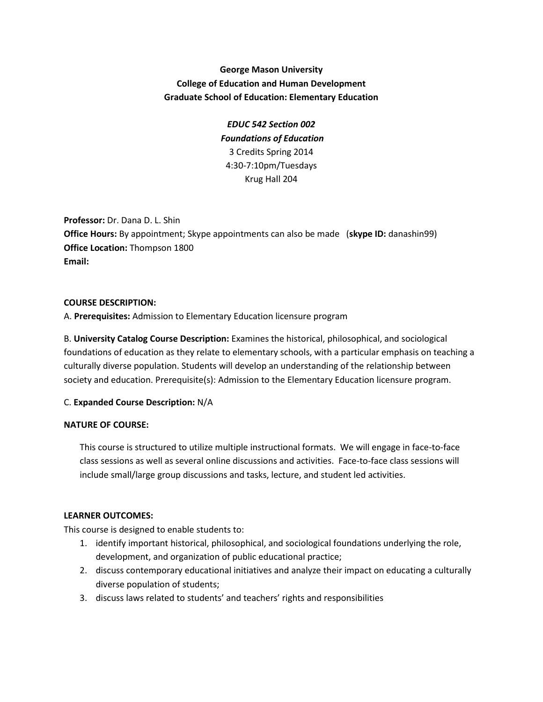# **George Mason University College of Education and Human Development Graduate School of Education: Elementary Education**

*EDUC 542 Section 002 Foundations of Education* 3 Credits Spring 2014 4:30-7:10pm/Tuesdays Krug Hall 204

**Professor:** Dr. Dana D. L. Shin **Office Hours:** By appointment; Skype appointments can also be made (**skype ID:** danashin99) **Office Location:** Thompson 1800 **Email:**

### **COURSE DESCRIPTION:**

A. **Prerequisites:** Admission to Elementary Education licensure program

B. **University Catalog Course Description:** Examines the historical, philosophical, and sociological foundations of education as they relate to elementary schools, with a particular emphasis on teaching a culturally diverse population. Students will develop an understanding of the relationship between society and education. Prerequisite(s): Admission to the Elementary Education licensure program.

### C. **Expanded Course Description:** N/A

### **NATURE OF COURSE:**

This course is structured to utilize multiple instructional formats. We will engage in face-to-face class sessions as well as several online discussions and activities. Face-to-face class sessions will include small/large group discussions and tasks, lecture, and student led activities.

### **LEARNER OUTCOMES:**

This course is designed to enable students to:

- 1. identify important historical, philosophical, and sociological foundations underlying the role, development, and organization of public educational practice;
- 2. discuss contemporary educational initiatives and analyze their impact on educating a culturally diverse population of students;
- 3. discuss laws related to students' and teachers' rights and responsibilities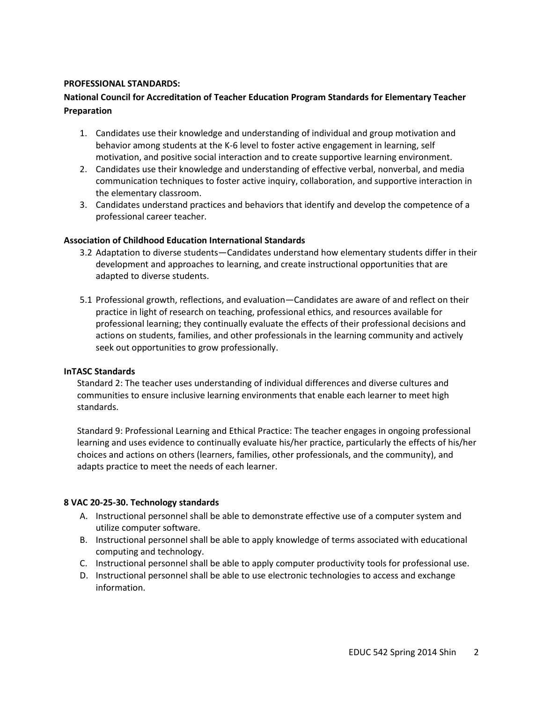#### **PROFESSIONAL STANDARDS:**

## **National Council for Accreditation of Teacher Education Program Standards for Elementary Teacher Preparation**

- 1. Candidates use their knowledge and understanding of individual and group motivation and behavior among students at the K-6 level to foster active engagement in learning, self motivation, and positive social interaction and to create supportive learning environment.
- 2. Candidates use their knowledge and understanding of effective verbal, nonverbal, and media communication techniques to foster active inquiry, collaboration, and supportive interaction in the elementary classroom.
- 3. Candidates understand practices and behaviors that identify and develop the competence of a professional career teacher.

#### **Association of Childhood Education International Standards**

- 3.2 Adaptation to diverse students—Candidates understand how elementary students differ in their development and approaches to learning, and create instructional opportunities that are adapted to diverse students.
- 5.1 Professional growth, reflections, and evaluation—Candidates are aware of and reflect on their practice in light of research on teaching, professional ethics, and resources available for professional learning; they continually evaluate the effects of their professional decisions and actions on students, families, and other professionals in the learning community and actively seek out opportunities to grow professionally.

#### **InTASC Standards**

Standard 2: The teacher uses understanding of individual differences and diverse cultures and communities to ensure inclusive learning environments that enable each learner to meet high standards.

Standard 9: Professional Learning and Ethical Practice: The teacher engages in ongoing professional learning and uses evidence to continually evaluate his/her practice, particularly the effects of his/her choices and actions on others (learners, families, other professionals, and the community), and adapts practice to meet the needs of each learner.

### **8 VAC 20-25-30. Technology standards**

- A. Instructional personnel shall be able to demonstrate effective use of a computer system and utilize computer software.
- B. Instructional personnel shall be able to apply knowledge of terms associated with educational computing and technology.
- C. Instructional personnel shall be able to apply computer productivity tools for professional use.
- D. Instructional personnel shall be able to use electronic technologies to access and exchange information.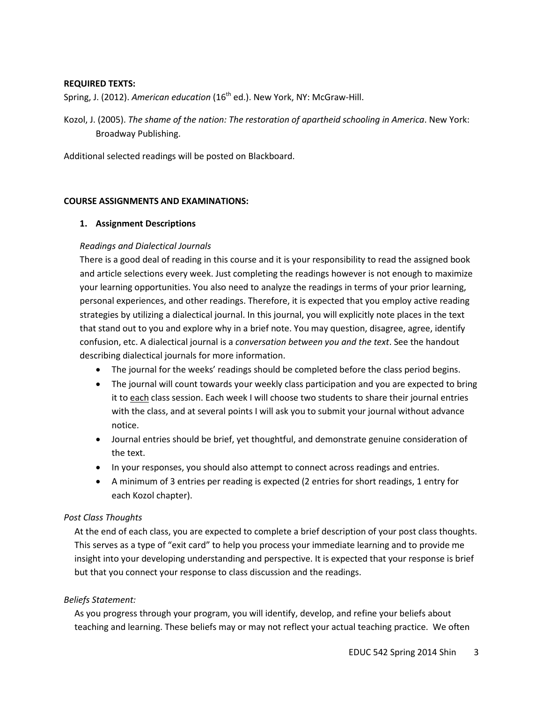### **REQUIRED TEXTS:**

Spring, J. (2012). American education (16<sup>th</sup> ed.). New York, NY: McGraw-Hill.

Kozol, J. (2005). *The shame of the nation: The restoration of apartheid schooling in America*. New York: Broadway Publishing.

Additional selected readings will be posted on Blackboard.

#### **COURSE ASSIGNMENTS AND EXAMINATIONS:**

### **1. Assignment Descriptions**

### *Readings and Dialectical Journals*

There is a good deal of reading in this course and it is your responsibility to read the assigned book and article selections every week. Just completing the readings however is not enough to maximize your learning opportunities. You also need to analyze the readings in terms of your prior learning, personal experiences, and other readings. Therefore, it is expected that you employ active reading strategies by utilizing a dialectical journal. In this journal, you will explicitly note places in the text that stand out to you and explore why in a brief note. You may question, disagree, agree, identify confusion, etc. A dialectical journal is a *conversation between you and the text*. See the handout describing dialectical journals for more information.

- The journal for the weeks' readings should be completed before the class period begins.
- The journal will count towards your weekly class participation and you are expected to bring it to each class session. Each week I will choose two students to share their journal entries with the class, and at several points I will ask you to submit your journal without advance notice.
- Journal entries should be brief, yet thoughtful, and demonstrate genuine consideration of the text.
- In your responses, you should also attempt to connect across readings and entries.
- A minimum of 3 entries per reading is expected (2 entries for short readings, 1 entry for each Kozol chapter).

### *Post Class Thoughts*

At the end of each class, you are expected to complete a brief description of your post class thoughts. This serves as a type of "exit card" to help you process your immediate learning and to provide me insight into your developing understanding and perspective. It is expected that your response is brief but that you connect your response to class discussion and the readings.

#### *Beliefs Statement:*

As you progress through your program, you will identify, develop, and refine your beliefs about teaching and learning. These beliefs may or may not reflect your actual teaching practice. We often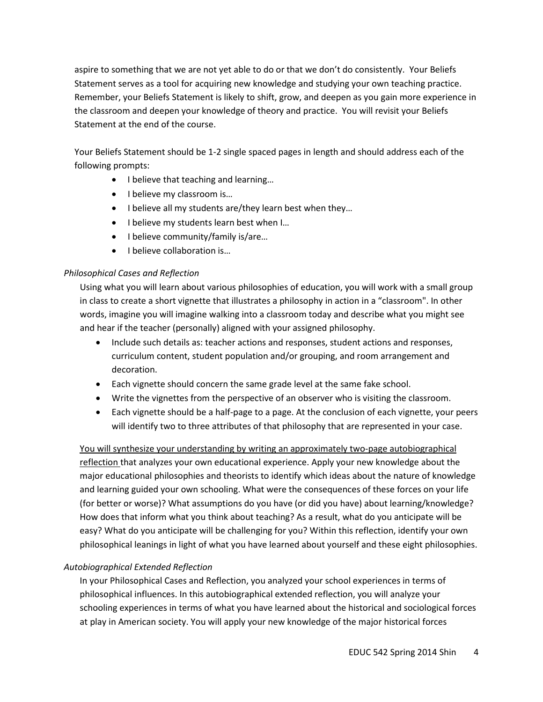aspire to something that we are not yet able to do or that we don't do consistently. Your Beliefs Statement serves as a tool for acquiring new knowledge and studying your own teaching practice. Remember, your Beliefs Statement is likely to shift, grow, and deepen as you gain more experience in the classroom and deepen your knowledge of theory and practice. You will revisit your Beliefs Statement at the end of the course.

Your Beliefs Statement should be 1-2 single spaced pages in length and should address each of the following prompts:

- I believe that teaching and learning…
- I believe my classroom is...
- I believe all my students are/they learn best when they…
- I believe my students learn best when I...
- I believe community/family is/are...
- I believe collaboration is...

## *Philosophical Cases and Reflection*

Using what you will learn about various philosophies of education, you will work with a small group in class to create a short vignette that illustrates a philosophy in action in a "classroom". In other words, imagine you will imagine walking into a classroom today and describe what you might see and hear if the teacher (personally) aligned with your assigned philosophy.

- Include such details as: teacher actions and responses, student actions and responses, curriculum content, student population and/or grouping, and room arrangement and decoration.
- Each vignette should concern the same grade level at the same fake school.
- Write the vignettes from the perspective of an observer who is visiting the classroom.
- Each vignette should be a half-page to a page. At the conclusion of each vignette, your peers will identify two to three attributes of that philosophy that are represented in your case.

You will synthesize your understanding by writing an approximately two-page autobiographical reflection that analyzes your own educational experience. Apply your new knowledge about the major educational philosophies and theorists to identify which ideas about the nature of knowledge and learning guided your own schooling. What were the consequences of these forces on your life (for better or worse)? What assumptions do you have (or did you have) about learning/knowledge? How does that inform what you think about teaching? As a result, what do you anticipate will be easy? What do you anticipate will be challenging for you? Within this reflection, identify your own philosophical leanings in light of what you have learned about yourself and these eight philosophies.

# *Autobiographical Extended Reflection*

In your Philosophical Cases and Reflection, you analyzed your school experiences in terms of philosophical influences. In this autobiographical extended reflection, you will analyze your schooling experiences in terms of what you have learned about the historical and sociological forces at play in American society. You will apply your new knowledge of the major historical forces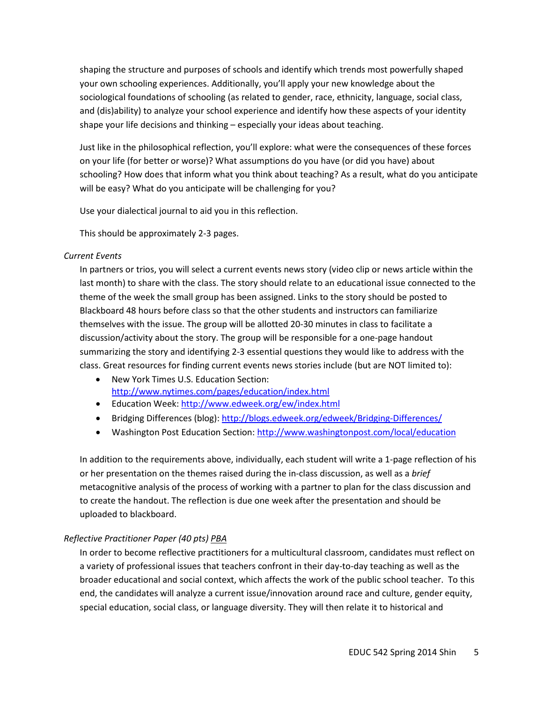shaping the structure and purposes of schools and identify which trends most powerfully shaped your own schooling experiences. Additionally, you'll apply your new knowledge about the sociological foundations of schooling (as related to gender, race, ethnicity, language, social class, and (dis)ability) to analyze your school experience and identify how these aspects of your identity shape your life decisions and thinking – especially your ideas about teaching.

Just like in the philosophical reflection, you'll explore: what were the consequences of these forces on your life (for better or worse)? What assumptions do you have (or did you have) about schooling? How does that inform what you think about teaching? As a result, what do you anticipate will be easy? What do you anticipate will be challenging for you?

Use your dialectical journal to aid you in this reflection.

This should be approximately 2-3 pages.

### *Current Events*

In partners or trios, you will select a current events news story (video clip or news article within the last month) to share with the class. The story should relate to an educational issue connected to the theme of the week the small group has been assigned. Links to the story should be posted to Blackboard 48 hours before class so that the other students and instructors can familiarize themselves with the issue. The group will be allotted 20-30 minutes in class to facilitate a discussion/activity about the story. The group will be responsible for a one-page handout summarizing the story and identifying 2-3 essential questions they would like to address with the class. Great resources for finding current events news stories include (but are NOT limited to):

- New York Times U.S. Education Section: <http://www.nytimes.com/pages/education/index.html>
- Education Week:<http://www.edweek.org/ew/index.html>
- Bridging Differences (blog):<http://blogs.edweek.org/edweek/Bridging-Differences/>
- Washington Post Education Section:<http://www.washingtonpost.com/local/education>

In addition to the requirements above, individually, each student will write a 1-page reflection of his or her presentation on the themes raised during the in-class discussion, as well as a *brief* metacognitive analysis of the process of working with a partner to plan for the class discussion and to create the handout. The reflection is due one week after the presentation and should be uploaded to blackboard.

## *Reflective Practitioner Paper (40 pts) PBA*

In order to become reflective practitioners for a multicultural classroom, candidates must reflect on a variety of professional issues that teachers confront in their day-to-day teaching as well as the broader educational and social context, which affects the work of the public school teacher. To this end, the candidates will analyze a current issue/innovation around race and culture, gender equity, special education, social class, or language diversity. They will then relate it to historical and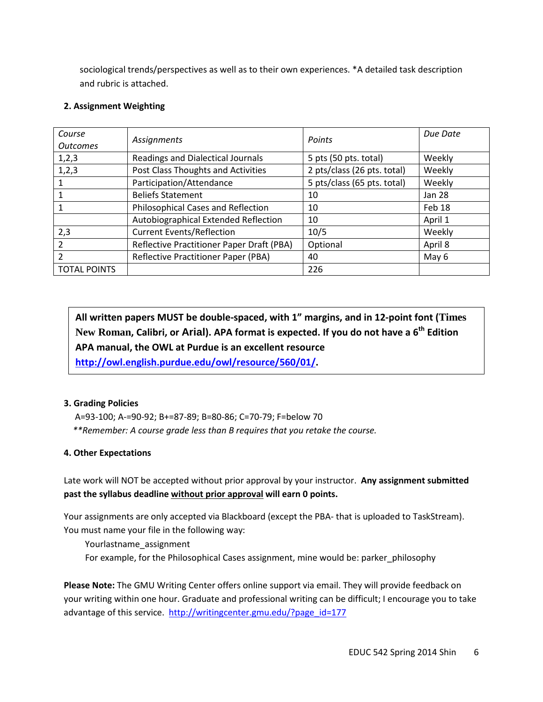sociological trends/perspectives as well as to their own experiences. \*A detailed task description and rubric is attached.

## **2. Assignment Weighting**

| Course<br><b>Outcomes</b> | Assignments                               | Points                      | Due Date      |
|---------------------------|-------------------------------------------|-----------------------------|---------------|
| 1,2,3                     | <b>Readings and Dialectical Journals</b>  | 5 pts (50 pts. total)       | Weekly        |
| 1, 2, 3                   | Post Class Thoughts and Activities        | 2 pts/class (26 pts. total) | Weekly        |
|                           | Participation/Attendance                  | 5 pts/class (65 pts. total) | Weekly        |
|                           | <b>Beliefs Statement</b>                  | 10                          | <b>Jan 28</b> |
|                           | Philosophical Cases and Reflection        | 10                          | Feb 18        |
|                           | Autobiographical Extended Reflection      | 10                          | April 1       |
| 2,3                       | <b>Current Events/Reflection</b>          | 10/5                        | Weekly        |
| 2                         | Reflective Practitioner Paper Draft (PBA) | Optional                    | April 8       |
| 2                         | Reflective Practitioner Paper (PBA)       | 40                          | May 6         |
| <b>TOTAL POINTS</b>       |                                           | 226                         |               |

**All written papers MUST be double-spaced, with 1" margins, and in 12-point font (Times New Roman, Calibri, or Arial). APA format is expected. If you do not have a 6th Edition APA manual, the OWL at Purdue is an excellent resource [http://owl.english.purdue.edu/owl/resource/560/01/.](http://owl.english.purdue.edu/owl/resource/560/01/)**

## **3. Grading Policies**

 A=93-100; A-=90-92; B+=87-89; B=80-86; C=70-79; F=below 70  *\*\*Remember: A course grade less than B requires that you retake the course.*

# **4. Other Expectations**

Late work will NOT be accepted without prior approval by your instructor. **Any assignment submitted past the syllabus deadline without prior approval will earn 0 points.** 

Your assignments are only accepted via Blackboard (except the PBA- that is uploaded to TaskStream). You must name your file in the following way:

- Yourlastname\_assignment
- For example, for the Philosophical Cases assignment, mine would be: parker\_philosophy

**Please Note:** The GMU Writing Center offers online support via email. They will provide feedback on your writing within one hour. Graduate and professional writing can be difficult; I encourage you to take advantage of this service. [http://writingcenter.gmu.edu/?page\\_id=177](http://writingcenter.gmu.edu/?page_id=177)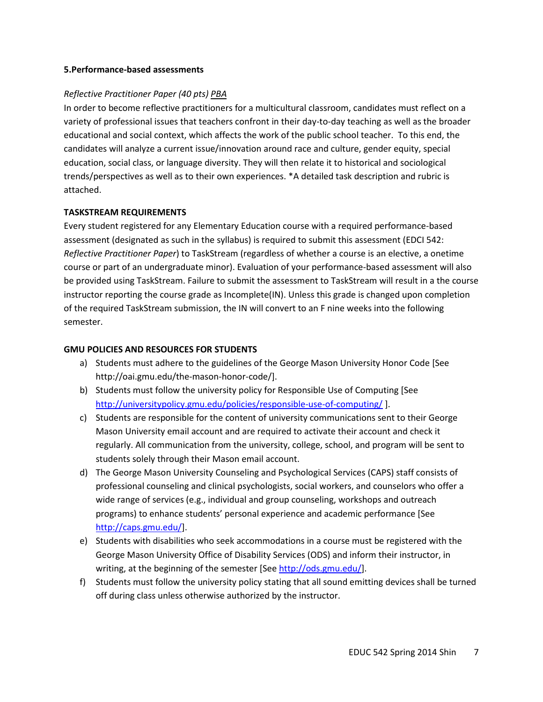### **5.Performance-based assessments**

## *Reflective Practitioner Paper (40 pts) PBA*

In order to become reflective practitioners for a multicultural classroom, candidates must reflect on a variety of professional issues that teachers confront in their day-to-day teaching as well as the broader educational and social context, which affects the work of the public school teacher. To this end, the candidates will analyze a current issue/innovation around race and culture, gender equity, special education, social class, or language diversity. They will then relate it to historical and sociological trends/perspectives as well as to their own experiences. \*A detailed task description and rubric is attached.

### **TASKSTREAM REQUIREMENTS**

Every student registered for any Elementary Education course with a required performance-based assessment (designated as such in the syllabus) is required to submit this assessment (EDCI 542: *Reflective Practitioner Paper*) to TaskStream (regardless of whether a course is an elective, a onetime course or part of an undergraduate minor). Evaluation of your performance-based assessment will also be provided using TaskStream. Failure to submit the assessment to TaskStream will result in a the course instructor reporting the course grade as Incomplete(IN). Unless this grade is changed upon completion of the required TaskStream submission, the IN will convert to an F nine weeks into the following semester.

### **GMU POLICIES AND RESOURCES FOR STUDENTS**

- a) Students must adhere to the guidelines of the George Mason University Honor Code [See http://oai.gmu.edu/the-mason-honor-code/].
- b) Students must follow the university policy for Responsible Use of Computing [See <http://universitypolicy.gmu.edu/policies/responsible-use-of-computing/> ].
- c) Students are responsible for the content of university communications sent to their George Mason University email account and are required to activate their account and check it regularly. All communication from the university, college, school, and program will be sent to students solely through their Mason email account.
- d) The George Mason University Counseling and Psychological Services (CAPS) staff consists of professional counseling and clinical psychologists, social workers, and counselors who offer a wide range of services (e.g., individual and group counseling, workshops and outreach programs) to enhance students' personal experience and academic performance [See [http://caps.gmu.edu/\]](http://caps.gmu.edu/).
- e) Students with disabilities who seek accommodations in a course must be registered with the George Mason University Office of Disability Services (ODS) and inform their instructor, in writing, at the beginning of the semester [Se[e http://ods.gmu.edu/\]](http://ods.gmu.edu/).
- f) Students must follow the university policy stating that all sound emitting devices shall be turned off during class unless otherwise authorized by the instructor.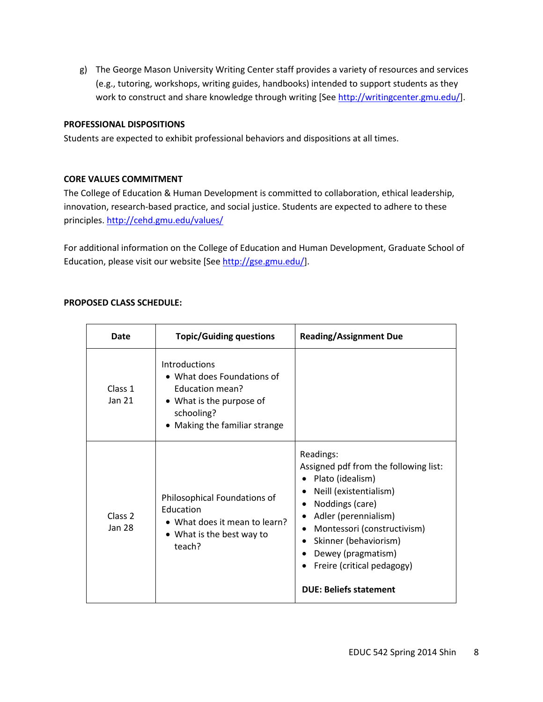g) The George Mason University Writing Center staff provides a variety of resources and services (e.g., tutoring, workshops, writing guides, handbooks) intended to support students as they work to construct and share knowledge through writing [Se[e http://writingcenter.gmu.edu/\]](http://writingcenter.gmu.edu/).

### **PROFESSIONAL DISPOSITIONS**

Students are expected to exhibit professional behaviors and dispositions at all times.

### **CORE VALUES COMMITMENT**

The College of Education & Human Development is committed to collaboration, ethical leadership, innovation, research-based practice, and social justice. Students are expected to adhere to these principles.<http://cehd.gmu.edu/values/>

For additional information on the College of Education and Human Development, Graduate School of Education, please visit our website [See [http://gse.gmu.edu/\]](http://gse.gmu.edu/).

### **PROPOSED CLASS SCHEDULE:**

| Date                         | <b>Topic/Guiding questions</b>                                                                                                          | <b>Reading/Assignment Due</b>                                                                                                                                                                                                                                                            |
|------------------------------|-----------------------------------------------------------------------------------------------------------------------------------------|------------------------------------------------------------------------------------------------------------------------------------------------------------------------------------------------------------------------------------------------------------------------------------------|
| Class 1<br>Jan 21            | Introductions<br>• What does Foundations of<br>Education mean?<br>• What is the purpose of<br>schooling?<br>Making the familiar strange |                                                                                                                                                                                                                                                                                          |
| Class <sub>2</sub><br>Jan 28 | Philosophical Foundations of<br><b>Education</b><br>• What does it mean to learn?<br>• What is the best way to<br>teach?                | Readings:<br>Assigned pdf from the following list:<br>Plato (idealism)<br>Neill (existentialism)<br>Noddings (care)<br>Adler (perennialism)<br>Montessori (constructivism)<br>Skinner (behaviorism)<br>Dewey (pragmatism)<br>Freire (critical pedagogy)<br><b>DUE: Beliefs statement</b> |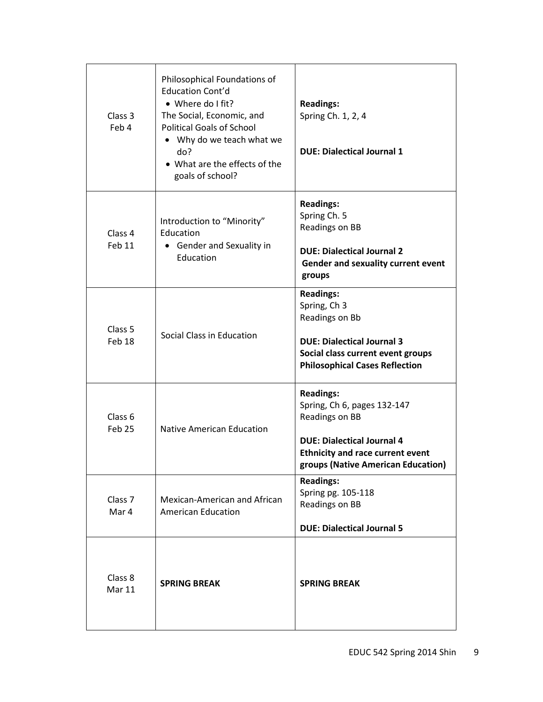| Class 3<br>Feb 4                        | Philosophical Foundations of<br>Education Cont'd<br>• Where do I fit?<br>The Social, Economic, and<br><b>Political Goals of School</b><br>Why do we teach what we<br>٠<br>do?<br>• What are the effects of the<br>goals of school? | <b>Readings:</b><br>Spring Ch. 1, 2, 4<br><b>DUE: Dialectical Journal 1</b>                                                                                                             |
|-----------------------------------------|------------------------------------------------------------------------------------------------------------------------------------------------------------------------------------------------------------------------------------|-----------------------------------------------------------------------------------------------------------------------------------------------------------------------------------------|
| Class 4<br>Feb 11                       | Introduction to "Minority"<br>Education<br><b>Gender and Sexuality in</b><br>Education                                                                                                                                             | <b>Readings:</b><br>Spring Ch. 5<br>Readings on BB<br><b>DUE: Dialectical Journal 2</b><br>Gender and sexuality current event<br>groups                                                 |
| Class <sub>5</sub><br>Feb 18            | Social Class in Education                                                                                                                                                                                                          | <b>Readings:</b><br>Spring, Ch 3<br>Readings on Bb<br><b>DUE: Dialectical Journal 3</b><br>Social class current event groups<br><b>Philosophical Cases Reflection</b>                   |
| Class <sub>6</sub><br>Feb <sub>25</sub> | <b>Native American Education</b>                                                                                                                                                                                                   | <b>Readings:</b><br>Spring, Ch 6, pages 132-147<br>Readings on BB<br><b>DUE: Dialectical Journal 4</b><br><b>Ethnicity and race current event</b><br>groups (Native American Education) |
| Class <sub>7</sub><br>Mar 4             | Mexican-American and African<br><b>American Education</b>                                                                                                                                                                          | <b>Readings:</b><br>Spring pg. 105-118<br>Readings on BB<br><b>DUE: Dialectical Journal 5</b>                                                                                           |
| Class 8<br>Mar 11                       | <b>SPRING BREAK</b>                                                                                                                                                                                                                | <b>SPRING BREAK</b>                                                                                                                                                                     |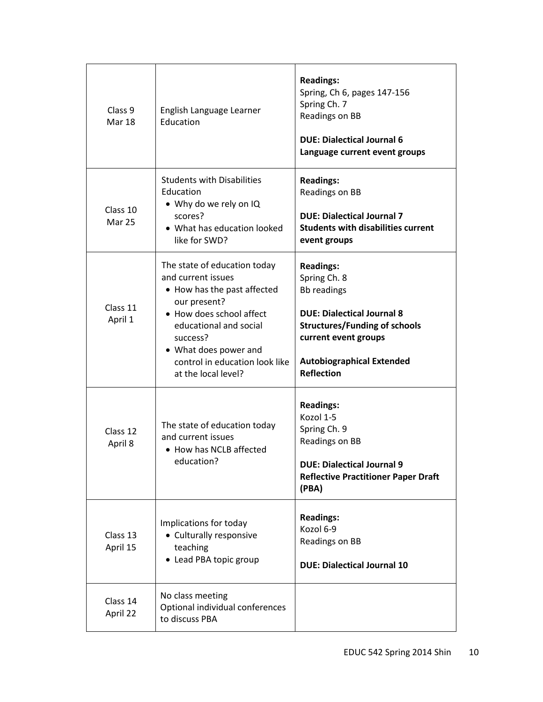| Class 9<br><b>Mar 18</b>  | English Language Learner<br>Education                                                                                                                                                                                                                 | <b>Readings:</b><br>Spring, Ch 6, pages 147-156<br>Spring Ch. 7<br>Readings on BB<br><b>DUE: Dialectical Journal 6</b><br>Language current event groups                                                              |
|---------------------------|-------------------------------------------------------------------------------------------------------------------------------------------------------------------------------------------------------------------------------------------------------|----------------------------------------------------------------------------------------------------------------------------------------------------------------------------------------------------------------------|
| Class 10<br><b>Mar 25</b> | <b>Students with Disabilities</b><br>Education<br>• Why do we rely on IQ<br>scores?<br>• What has education looked<br>like for SWD?                                                                                                                   | <b>Readings:</b><br>Readings on BB<br><b>DUE: Dialectical Journal 7</b><br><b>Students with disabilities current</b><br>event groups                                                                                 |
| Class 11<br>April 1       | The state of education today<br>and current issues<br>• How has the past affected<br>our present?<br>• How does school affect<br>educational and social<br>success?<br>• What does power and<br>control in education look like<br>at the local level? | <b>Readings:</b><br>Spring Ch. 8<br><b>Bb readings</b><br><b>DUE: Dialectical Journal 8</b><br><b>Structures/Funding of schools</b><br>current event groups<br><b>Autobiographical Extended</b><br><b>Reflection</b> |
| Class 12<br>April 8       | The state of education today<br>and current issues<br>• How has NCLB affected<br>education?                                                                                                                                                           | <b>Readings:</b><br>Kozol 1-5<br>Spring Ch. 9<br>Readings on BB<br><b>DUE: Dialectical Journal 9</b><br><b>Reflective Practitioner Paper Draft</b><br>(PBA)                                                          |
| Class 13<br>April 15      | Implications for today<br>• Culturally responsive<br>teaching<br>• Lead PBA topic group                                                                                                                                                               | <b>Readings:</b><br>Kozol 6-9<br>Readings on BB<br><b>DUE: Dialectical Journal 10</b>                                                                                                                                |
| Class 14<br>April 22      | No class meeting<br>Optional individual conferences<br>to discuss PBA                                                                                                                                                                                 |                                                                                                                                                                                                                      |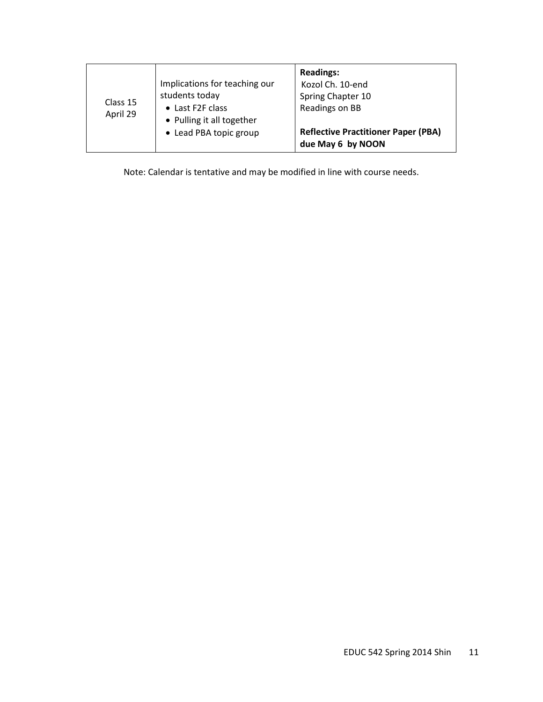| Class 15<br>April 29 | Implications for teaching our<br>students today<br>• Last F2F class<br>• Pulling it all together<br>• Lead PBA topic group | <b>Readings:</b><br>Kozol Ch. 10-end<br>Spring Chapter 10<br>Readings on BB<br><b>Reflective Practitioner Paper (PBA)</b> |
|----------------------|----------------------------------------------------------------------------------------------------------------------------|---------------------------------------------------------------------------------------------------------------------------|
|                      |                                                                                                                            | due May 6 by NOON                                                                                                         |

Note: Calendar is tentative and may be modified in line with course needs.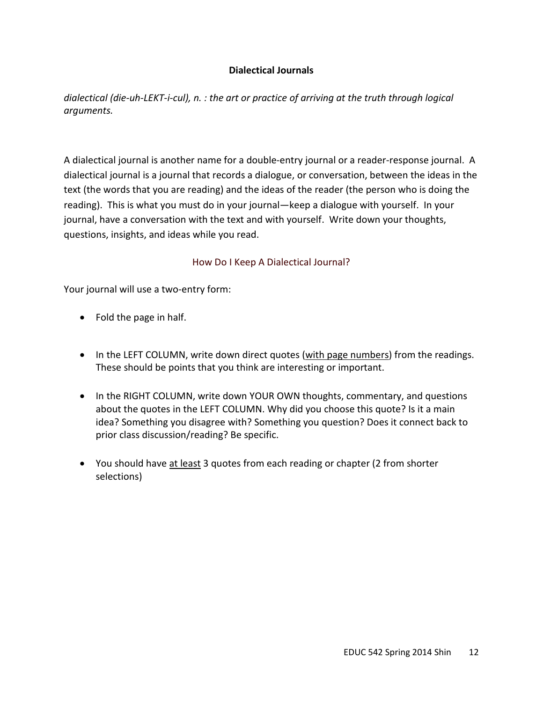# **Dialectical Journals**

*dialectical (die-uh-LEKT-i-cul), n. : the art or practice of arriving at the truth through logical arguments.* 

A dialectical journal is another name for a double-entry journal or a reader-response journal. A dialectical journal is a journal that records a dialogue, or conversation, between the ideas in the text (the words that you are reading) and the ideas of the reader (the person who is doing the reading). This is what you must do in your journal—keep a dialogue with yourself. In your journal, have a conversation with the text and with yourself. Write down your thoughts, questions, insights, and ideas while you read.

## How Do I Keep A Dialectical Journal?

Your journal will use a two-entry form:

- Fold the page in half.
- In the LEFT COLUMN, write down direct quotes (with page numbers) from the readings. These should be points that you think are interesting or important.
- In the RIGHT COLUMN, write down YOUR OWN thoughts, commentary, and questions about the quotes in the LEFT COLUMN. Why did you choose this quote? Is it a main idea? Something you disagree with? Something you question? Does it connect back to prior class discussion/reading? Be specific.
- You should have at least 3 quotes from each reading or chapter (2 from shorter selections)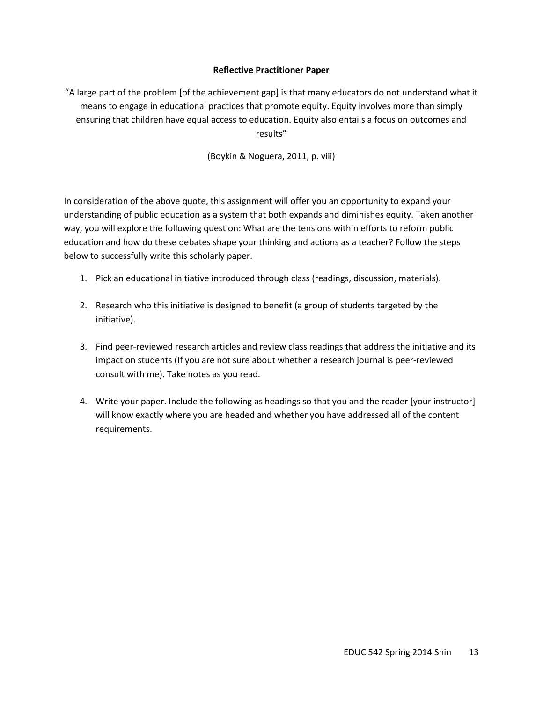### **Reflective Practitioner Paper**

"A large part of the problem [of the achievement gap] is that many educators do not understand what it means to engage in educational practices that promote equity. Equity involves more than simply ensuring that children have equal access to education. Equity also entails a focus on outcomes and results"

(Boykin & Noguera, 2011, p. viii)

In consideration of the above quote, this assignment will offer you an opportunity to expand your understanding of public education as a system that both expands and diminishes equity. Taken another way, you will explore the following question: What are the tensions within efforts to reform public education and how do these debates shape your thinking and actions as a teacher? Follow the steps below to successfully write this scholarly paper.

- 1. Pick an educational initiative introduced through class (readings, discussion, materials).
- 2. Research who this initiative is designed to benefit (a group of students targeted by the initiative).
- 3. Find peer-reviewed research articles and review class readings that address the initiative and its impact on students (If you are not sure about whether a research journal is peer-reviewed consult with me). Take notes as you read.
- 4. Write your paper. Include the following as headings so that you and the reader [your instructor] will know exactly where you are headed and whether you have addressed all of the content requirements.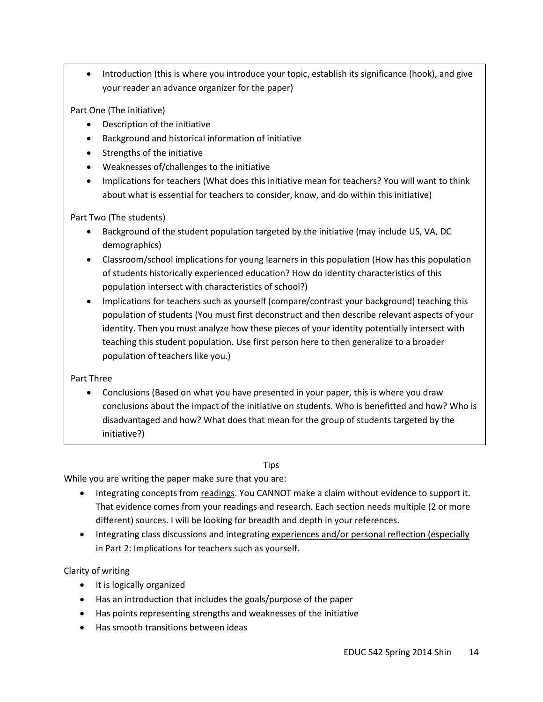• Introduction (this is where you introduce your topic, establish its significance (hook), and give your reader an advance organizer for the paper)

Part One (The initiative)

- Description of the initiative
- Background and historical information of initiative
- Strengths of the initiative
- Weaknesses of/challenges to the initiative
- Implications for teachers (What does this initiative mean for teachers? You will want to think about what is essential for teachers to consider, know, and do within this initiative)

Part Two (The students)

- Background of the student population targeted by the initiative (may include US, VA, DC demographics)
- Classroom/school implications for young learners in this population (How has this population of students historically experienced education? How do identity characteristics of this population intersect with characteristics of school?)
- Implications for teachers such as yourself (compare/contrast your background) teaching this population of students (You must first deconstruct and then describe relevant aspects of your identity. Then you must analyze how these pieces of your identity potentially intersect with teaching this student population. Use first person here to then generalize to a broader population of teachers like you.)

Part Three

• Conclusions (Based on what you have presented in your paper, this is where you draw conclusions about the impact of the initiative on students. Who is benefitted and how? Who is disadvantaged and how? What does that mean for the group of students targeted by the initiative?)

# **Tips**

While you are writing the paper make sure that you are:

- Integrating concepts from readings. You CANNOT make a claim without evidence to support it. That evidence comes from your readings and research. Each section needs multiple (2 or more different) sources. I will be looking for breadth and depth in your references.
- Integrating class discussions and integrating experiences and/or personal reflection (especially in Part 2: Implications for teachers such as yourself.

Clarity of writing

- It is logically organized
- Has an introduction that includes the goals/purpose of the paper
- Has points representing strengths and weaknesses of the initiative
- Has smooth transitions between ideas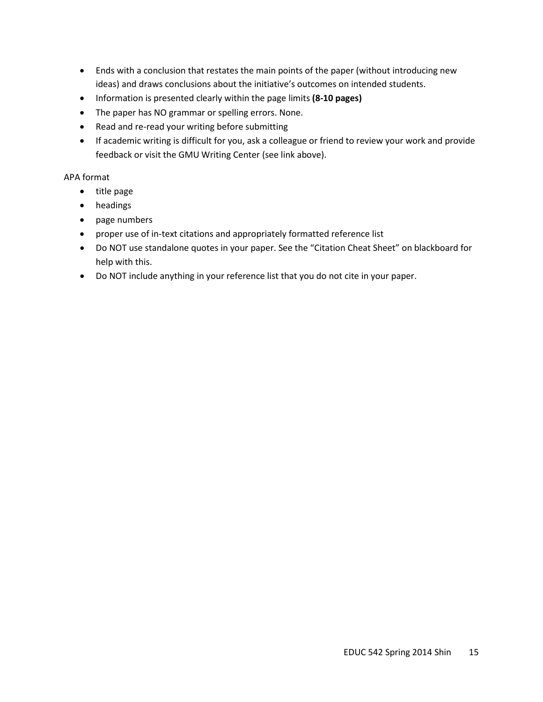- Ends with a conclusion that restates the main points of the paper (without introducing new ideas) and draws conclusions about the initiative's outcomes on intended students.
- Information is presented clearly within the page limits **(8-10 pages)**
- The paper has NO grammar or spelling errors. None.
- Read and re-read your writing before submitting
- If academic writing is difficult for you, ask a colleague or friend to review your work and provide feedback or visit the GMU Writing Center (see link above).

### APA format

- title page
- headings
- page numbers
- proper use of in-text citations and appropriately formatted reference list
- Do NOT use standalone quotes in your paper. See the "Citation Cheat Sheet" on blackboard for help with this.
- Do NOT include anything in your reference list that you do not cite in your paper.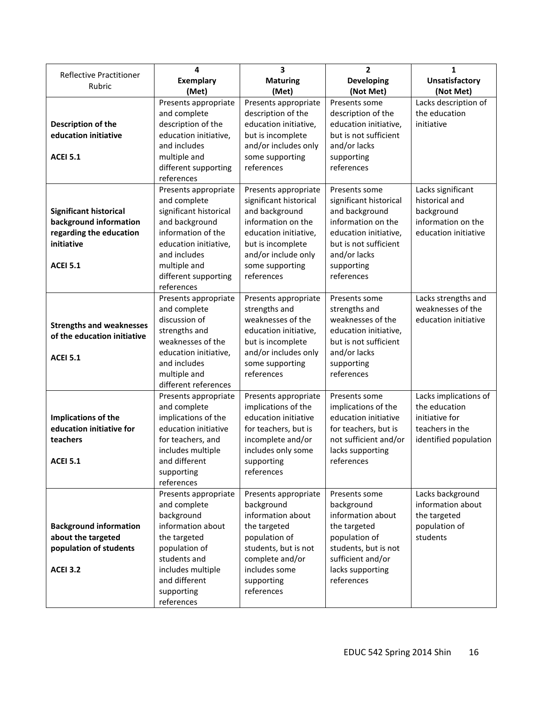|                                   | 4                                  | 3                                     | $\overline{2}$         | 1                                        |
|-----------------------------------|------------------------------------|---------------------------------------|------------------------|------------------------------------------|
| Reflective Practitioner<br>Rubric | <b>Exemplary</b>                   | <b>Maturing</b>                       | <b>Developing</b>      | <b>Unsatisfactory</b>                    |
|                                   | (Met)                              | (Met)                                 | (Not Met)              | (Not Met)                                |
|                                   | Presents appropriate               | Presents appropriate                  | Presents some          | Lacks description of                     |
|                                   | and complete                       | description of the                    | description of the     | the education                            |
| Description of the                | description of the                 | education initiative,                 | education initiative,  | initiative                               |
| education initiative              | education initiative,              | but is incomplete                     | but is not sufficient  |                                          |
|                                   | and includes                       | and/or includes only                  | and/or lacks           |                                          |
| <b>ACEI 5.1</b>                   | multiple and                       | some supporting                       | supporting             |                                          |
|                                   | different supporting               | references                            | references             |                                          |
|                                   | references                         |                                       |                        |                                          |
|                                   | Presents appropriate               | Presents appropriate                  | Presents some          | Lacks significant                        |
|                                   | and complete                       | significant historical                | significant historical | historical and                           |
| <b>Significant historical</b>     | significant historical             | and background                        | and background         | background                               |
| background information            | and background                     | information on the                    | information on the     | information on the                       |
| regarding the education           | information of the                 | education initiative,                 | education initiative,  | education initiative                     |
| initiative                        | education initiative,              | but is incomplete                     | but is not sufficient  |                                          |
|                                   | and includes                       | and/or include only                   | and/or lacks           |                                          |
| <b>ACEI 5.1</b>                   | multiple and                       | some supporting                       | supporting             |                                          |
|                                   | different supporting<br>references | references                            | references             |                                          |
|                                   | Presents appropriate               |                                       | Presents some          |                                          |
|                                   | and complete                       | Presents appropriate<br>strengths and | strengths and          | Lacks strengths and<br>weaknesses of the |
|                                   | discussion of                      | weaknesses of the                     | weaknesses of the      | education initiative                     |
| <b>Strengths and weaknesses</b>   | strengths and                      | education initiative,                 | education initiative,  |                                          |
| of the education initiative       | weaknesses of the                  | but is incomplete                     | but is not sufficient  |                                          |
|                                   | education initiative,              | and/or includes only                  | and/or lacks           |                                          |
| <b>ACEI 5.1</b>                   | and includes                       | some supporting                       | supporting             |                                          |
|                                   | multiple and                       | references                            | references             |                                          |
|                                   | different references               |                                       |                        |                                          |
|                                   | Presents appropriate               | Presents appropriate                  | Presents some          | Lacks implications of                    |
|                                   | and complete                       | implications of the                   | implications of the    | the education                            |
| Implications of the               | implications of the                | education initiative                  | education initiative   | initiative for                           |
| education initiative for          | education initiative               | for teachers, but is                  | for teachers, but is   | teachers in the                          |
| teachers                          | for teachers, and                  | incomplete and/or                     | not sufficient and/or  | identified population                    |
|                                   | includes multiple                  | includes only some                    | lacks supporting       |                                          |
| <b>ACEI 5.1</b>                   | and different                      | supporting                            | references             |                                          |
|                                   | supporting                         | references                            |                        |                                          |
|                                   | references                         |                                       |                        |                                          |
|                                   | Presents appropriate               | Presents appropriate                  | Presents some          | Lacks background                         |
|                                   | and complete                       | background                            | background             | information about                        |
|                                   | background                         | information about                     | information about      | the targeted                             |
| <b>Background information</b>     | information about                  | the targeted                          | the targeted           | population of                            |
| about the targeted                | the targeted                       | population of                         | population of          | students                                 |
| population of students            | population of                      | students, but is not                  | students, but is not   |                                          |
|                                   | students and                       | complete and/or                       | sufficient and/or      |                                          |
| <b>ACEI 3.2</b>                   | includes multiple                  | includes some                         | lacks supporting       |                                          |
|                                   | and different                      | supporting                            | references             |                                          |
|                                   | supporting                         | references                            |                        |                                          |
|                                   | references                         |                                       |                        |                                          |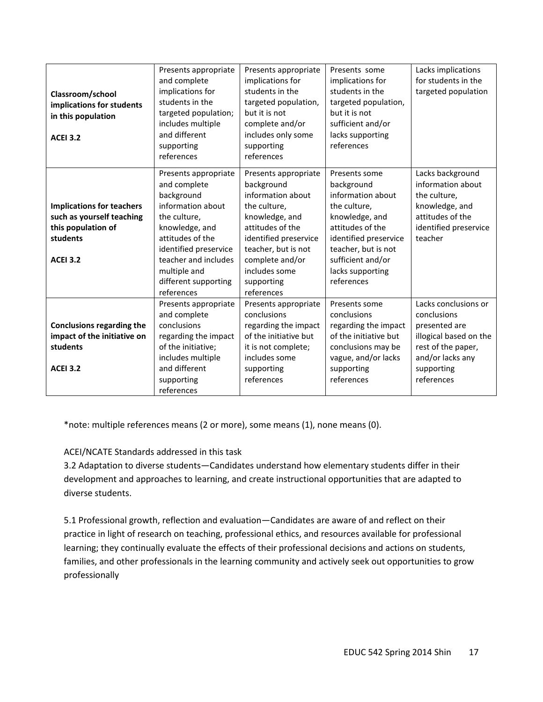| Classroom/school<br>implications for students<br>in this population<br><b>ACEI 3.2</b> | Presents appropriate<br>and complete<br>implications for<br>students in the<br>targeted population;<br>includes multiple<br>and different<br>supporting<br>references | Presents appropriate<br>implications for<br>students in the<br>targeted population,<br>but it is not<br>complete and/or<br>includes only some<br>supporting<br>references | Presents some<br>implications for<br>students in the<br>targeted population,<br>but it is not<br>sufficient and/or<br>lacks supporting<br>references | Lacks implications<br>for students in the<br>targeted population |
|----------------------------------------------------------------------------------------|-----------------------------------------------------------------------------------------------------------------------------------------------------------------------|---------------------------------------------------------------------------------------------------------------------------------------------------------------------------|------------------------------------------------------------------------------------------------------------------------------------------------------|------------------------------------------------------------------|
|                                                                                        | Presents appropriate<br>and complete                                                                                                                                  | Presents appropriate<br>background                                                                                                                                        | Presents some<br>background                                                                                                                          | Lacks background<br>information about                            |
|                                                                                        | background                                                                                                                                                            | information about                                                                                                                                                         | information about                                                                                                                                    | the culture,                                                     |
| <b>Implications for teachers</b>                                                       | information about                                                                                                                                                     | the culture,                                                                                                                                                              | the culture,                                                                                                                                         | knowledge, and                                                   |
| such as yourself teaching                                                              | the culture,                                                                                                                                                          | knowledge, and                                                                                                                                                            | knowledge, and                                                                                                                                       | attitudes of the                                                 |
| this population of                                                                     | knowledge, and                                                                                                                                                        | attitudes of the                                                                                                                                                          | attitudes of the                                                                                                                                     | identified preservice                                            |
| students                                                                               | attitudes of the                                                                                                                                                      | identified preservice                                                                                                                                                     | identified preservice                                                                                                                                | teacher                                                          |
|                                                                                        | identified preservice                                                                                                                                                 | teacher, but is not                                                                                                                                                       | teacher, but is not                                                                                                                                  |                                                                  |
| <b>ACEI 3.2</b>                                                                        | teacher and includes                                                                                                                                                  | complete and/or                                                                                                                                                           | sufficient and/or                                                                                                                                    |                                                                  |
|                                                                                        | multiple and                                                                                                                                                          | includes some                                                                                                                                                             | lacks supporting                                                                                                                                     |                                                                  |
|                                                                                        | different supporting                                                                                                                                                  | supporting                                                                                                                                                                | references                                                                                                                                           |                                                                  |
|                                                                                        | references                                                                                                                                                            | references                                                                                                                                                                |                                                                                                                                                      |                                                                  |
|                                                                                        | Presents appropriate                                                                                                                                                  | Presents appropriate                                                                                                                                                      | Presents some                                                                                                                                        | Lacks conclusions or                                             |
|                                                                                        | and complete                                                                                                                                                          | conclusions                                                                                                                                                               | conclusions                                                                                                                                          | conclusions                                                      |
| <b>Conclusions regarding the</b><br>impact of the initiative on                        | conclusions<br>regarding the impact                                                                                                                                   | regarding the impact<br>of the initiative but                                                                                                                             | regarding the impact<br>of the initiative but                                                                                                        | presented are<br>illogical based on the                          |
| students                                                                               | of the initiative;                                                                                                                                                    | it is not complete;                                                                                                                                                       | conclusions may be                                                                                                                                   | rest of the paper,                                               |
|                                                                                        | includes multiple                                                                                                                                                     | includes some                                                                                                                                                             | vague, and/or lacks                                                                                                                                  | and/or lacks any                                                 |
| <b>ACEI 3.2</b>                                                                        | and different                                                                                                                                                         | supporting                                                                                                                                                                | supporting                                                                                                                                           | supporting                                                       |
|                                                                                        | supporting                                                                                                                                                            | references                                                                                                                                                                | references                                                                                                                                           | references                                                       |
|                                                                                        | references                                                                                                                                                            |                                                                                                                                                                           |                                                                                                                                                      |                                                                  |

\*note: multiple references means (2 or more), some means (1), none means (0).

# ACEI/NCATE Standards addressed in this task

3.2 Adaptation to diverse students—Candidates understand how elementary students differ in their development and approaches to learning, and create instructional opportunities that are adapted to diverse students.

5.1 Professional growth, reflection and evaluation—Candidates are aware of and reflect on their practice in light of research on teaching, professional ethics, and resources available for professional learning; they continually evaluate the effects of their professional decisions and actions on students, families, and other professionals in the learning community and actively seek out opportunities to grow professionally